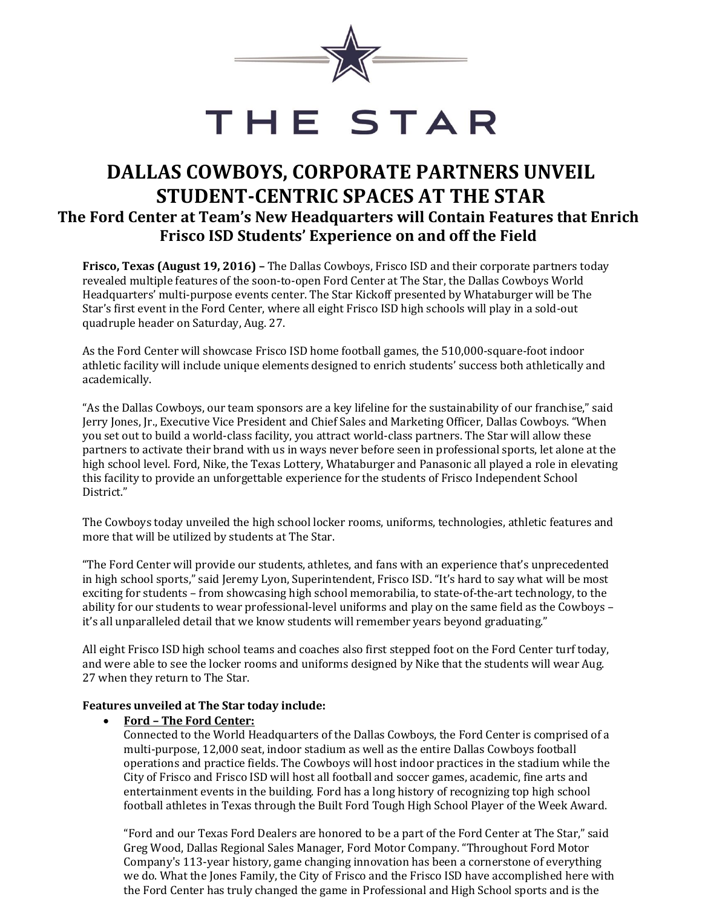

# THE STAR

## **DALLAS COWBOYS, CORPORATE PARTNERS UNVEIL STUDENT-CENTRIC SPACES AT THE STAR The Ford Center at Team's New Headquarters will Contain Features that Enrich Frisco ISD Students' Experience on and off the Field**

**Frisco, Texas (August 19, 2016) –** The Dallas Cowboys, Frisco ISD and their corporate partners today revealed multiple features of the soon-to-open Ford Center at The Star, the Dallas Cowboys World Headquarters' multi-purpose events center. The Star Kickoff presented by Whataburger will be The Star's first event in the Ford Center, where all eight Frisco ISD high schools will play in a sold-out quadruple header on Saturday, Aug. 27.

As the Ford Center will showcase Frisco ISD home football games, the 510,000-square-foot indoor athletic facility will include unique elements designed to enrich students' success both athletically and academically.

"As the Dallas Cowboys, our team sponsors are a key lifeline for the sustainability of our franchise," said Jerry Jones, Jr., Executive Vice President and Chief Sales and Marketing Officer, Dallas Cowboys. "When you set out to build a world-class facility, you attract world-class partners. The Star will allow these partners to activate their brand with us in ways never before seen in professional sports, let alone at the high school level. Ford, Nike, the Texas Lottery, Whataburger and Panasonic all played a role in elevating this facility to provide an unforgettable experience for the students of Frisco Independent School District."

The Cowboys today unveiled the high school locker rooms, uniforms, technologies, athletic features and more that will be utilized by students at The Star.

"The Ford Center will provide our students, athletes, and fans with an experience that's unprecedented in high school sports," said Jeremy Lyon, Superintendent, Frisco ISD. "It's hard to say what will be most exciting for students – from showcasing high school memorabilia, to state-of-the-art technology, to the ability for our students to wear professional-level uniforms and play on the same field as the Cowboys – it's all unparalleled detail that we know students will remember years beyond graduating."

All eight Frisco ISD high school teams and coaches also first stepped foot on the Ford Center turf today, and were able to see the locker rooms and uniforms designed by Nike that the students will wear Aug. 27 when they return to The Star.

#### **Features unveiled at The Star today include:**

#### **Ford – The Ford Center:**

Connected to the World Headquarters of the Dallas Cowboys, the Ford Center is comprised of a multi-purpose, 12,000 seat, indoor stadium as well as the entire Dallas Cowboys football operations and practice fields. The Cowboys will host indoor practices in the stadium while the City of Frisco and Frisco ISD will host all football and soccer games, academic, fine arts and entertainment events in the building. Ford has a long history of recognizing top high school football athletes in Texas through the Built Ford Tough High School Player of the Week Award.

"Ford and our Texas Ford Dealers are honored to be a part of the Ford Center at The Star," said Greg Wood, Dallas Regional Sales Manager, Ford Motor Company. "Throughout Ford Motor Company's 113-year history, game changing innovation has been a cornerstone of everything we do. What the Jones Family, the City of Frisco and the Frisco ISD have accomplished here with the Ford Center has truly changed the game in Professional and High School sports and is the